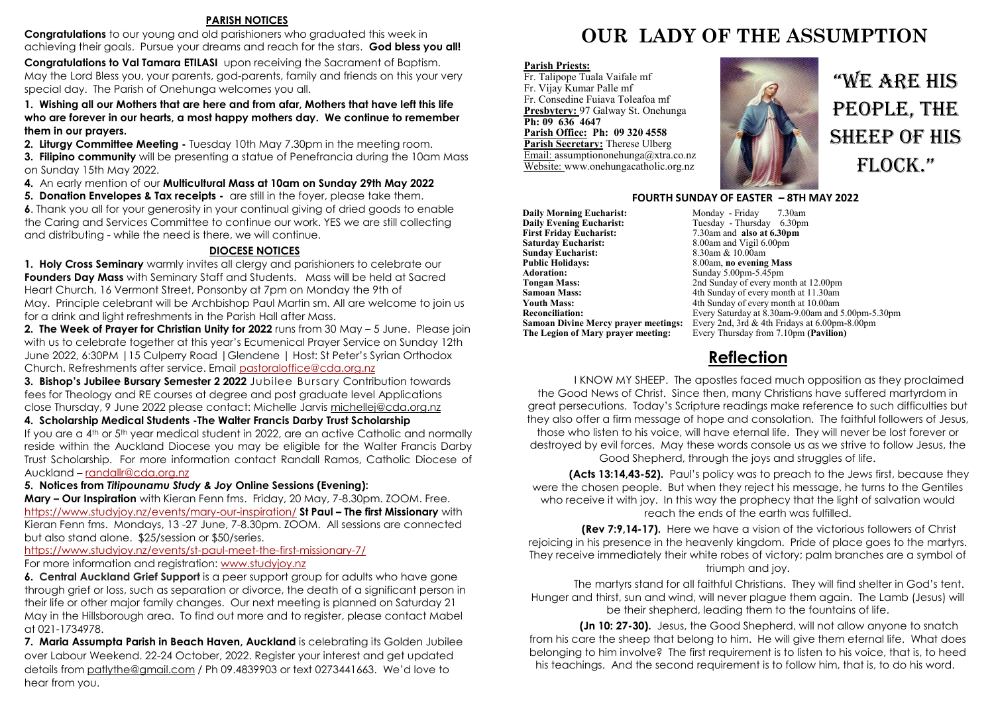#### **PARISH NOTICES**

**Congratulations** to our young and old parishioners who graduated this week in achieving their goals. Pursue your dreams and reach for the stars. **God bless you all!** 

**Congratulations to Val Tamara ETILASI** upon receiving the Sacrament of Baptism. May the Lord Bless you, your parents, god-parents, family and friends on this your very special day. The Parish of Onehunga welcomes you all.

**1. Wishing all our Mothers that are here and from afar, Mothers that have left this life who are forever in our hearts, a most happy mothers day. We continue to remember them in our prayers.**

**2. Liturgy Committee Meeting -** Tuesday 10th May 7.30pm in the meeting room.

**3. Filipino community** will be presenting a statue of Penefrancia during the 10am Mass on Sunday 15th May 2022.

**4.** An early mention of our **Multicultural Mass at 10am on Sunday 29th May 2022**

**5. Donation Envelopes & Tax receipts -** are still in the foyer, please take them.

**6**. Thank you all for your generosity in your continual giving of dried goods to enable the Caring and Services Committee to continue our work. YES we are still collecting and distributing - while the need is there, we will continue.

#### **DIOCESE NOTICES**

**1. Holy Cross Seminary** warmly invites all clergy and parishioners to celebrate our **Founders Day Mass** with Seminary Staff and Students. Mass will be held at Sacred Heart Church, 16 Vermont Street, Ponsonby at 7pm on Monday the 9th of May. Principle celebrant will be Archbishop Paul Martin sm. All are welcome to join us for a drink and light refreshments in the Parish Hall after Mass.

**2. The Week of Prayer for Christian Unity for 2022** runs from 30 May – 5 June. Please join with us to celebrate together at this year's Ecumenical Prayer Service on Sunday 12th June 2022, 6:30PM |15 Culperry Road |Glendene | Host: St Peter's Syrian Orthodox Church. Refreshments after service. Email [pastoraloffice@cda.org.nz](mailto:pastoraloffice@cda.org.nz)

**3. Bishop's Jubilee Bursary Semester 2 2022** Jubilee Bursary Contribution towards fees for Theology and RE courses at degree and post graduate level Applications close Thursday, 9 June 2022 please contact: Michelle Jarvis [michellej@cda.org.nz](mailto:michellej@cda.org.nz)

#### **4. Scholarship Medical Students -The Walter Francis Darby Trust Scholarship**

If you are a 4th or 5th year medical student in 2022, are an active Catholic and normally reside within the Auckland Diocese you may be eligible for the Walter Francis Darby Trust Scholarship. For more information contact Randall Ramos, Catholic Diocese of Auckland – [randallr@cda.org.nz](mailto:randallr@cda.org.nz)

**5. Notices from** *Titipounamu Study & Joy* **Online Sessions (Evening):**

**Mary – Our Inspiration** with Kieran Fenn fms. Friday, 20 May, 7-8.30pm. ZOOM. Free. <https://www.studyjoy.nz/events/mary-our-inspiration/> **St Paul – The first Missionary** with Kieran Fenn fms. Mondays, 13 -27 June, 7-8.30pm. ZOOM. All sessions are connected but also stand alone. \$25/session or \$50/series.

## <https://www.studyjoy.nz/events/st-paul-meet-the-first-missionary-7/>

For more information and registration: [www.studyjoy.nz](http://www.studyjoy.nz/)

**6. Central Auckland Grief Support** is a peer support group for adults who have gone through grief or loss, such as separation or divorce, the death of a significant person in their life or other major family changes. Our next meeting is planned on Saturday 21 May in the Hillsborough area. To find out more and to register, please contact Mabel at 021-1734978.

**7. Maria Assumpta Parish in Beach Haven, Auckland** is celebrating its Golden Jubilee over Labour Weekend. 22-24 October, 2022. Register your interest and get updated details from [patlythe@gmail.com](mailto:patlythe@gmail.com) / Ph 09.4839903 or text 0273441663. We'd love to hear from you.

# **OUR LADY OF THE ASSUMPTION**

#### **Parish Priests:**

Fr. Talipope Tuala Vaifale mf Fr. Vijay Kumar Palle mf Fr. Consedine Fuiava Toleafoa mf **Presbytery:** 97 Galway St. Onehunga **Ph: 09 636 4647 Parish Office: Ph: 09 320 4558 Parish Secretary:** Therese Ulberg Email: assumptiononehunga@xtra.co.nz Website: www.onehungacatholic.org.nz



"WE ARE HIS PEOPLE, THE SHEEP OF HIS FLOCK."

#### **FOURTH SUNDAY OF EASTER – 8TH MAY 2022**

**Daily Morning Eucharist: Monday - Friday 7.30am**<br> **Daily Evening Eucharist:** Tuesday - Thursday 6.30pm **Daily Evening Eucharist:** Tuesday - Thursday 6.30pm<br>First Friday Eucharist: 7.30am and also at 6.30pm **First Friday Eucharist:** 7.30am and **also at 6.30pm**<br>**Saturday Eucharist:** 8.00am and Vigil 6.00pm **Sunday Eucharist:**<br>Public Holidays: **Public Holidays:** 8.00am, **no evening Mass**<br>**Adoration:** Sunday 5.00pm-5.45pm **Adoration:** Sunday 5.00pm-5.45pm<br> **Tongan Mass:** 2nd Sunday of every mo **Samoan Mass:** 4th Sunday of every month at 11.30am<br>**Youth Mass:** 4th Sunday of every month at 10.00am **Youth Mass:** 4th Sunday of every month at 10.00am<br> **Reconciliation:** Every Saturday at 8.30am-9.00am and :

8.00am and Vigil 6.00pm<br>8.30am & 10.00am **Tongan Mass:** 2nd Sunday of every month at 12.00pm<br> **Samoan Mass:** 4th Sunday of every month at 11.30am **Reconciliation:** Every Saturday at 8.30am-9.00am and 5.00pm-5.30pm **Samoan Divine Mercy prayer meetings:** Every 2nd, 3rd & 4th Fridays at 6.00pm-8.00pm<br>**The Legion of Mary prayer meeting:** Every Thursday from 7.10pm (Pavilion) Every Thursday from 7.10pm **(Pavilion)** 

## **Reflection**

I KNOW MY SHEEP. The apostles faced much opposition as they proclaimed the Good News of Christ. Since then, many Christians have suffered martyrdom in great persecutions. Today's Scripture readings make reference to such difficulties but they also offer a firm message of hope and consolation. The faithful followers of Jesus, those who listen to his voice, will have eternal life. They will never be lost forever or destroyed by evil forces. May these words console us as we strive to follow Jesus, the Good Shepherd, through the joys and struggles of life.

**(Acts 13:14,43-52).** Paul's policy was to preach to the Jews first, because they were the chosen people. But when they reject his message, he turns to the Gentiles who receive it with joy. In this way the prophecy that the light of salvation would reach the ends of the earth was fulfilled.

**(Rev 7:9,14-17).** Here we have a vision of the victorious followers of Christ rejoicing in his presence in the heavenly kingdom. Pride of place goes to the martyrs. They receive immediately their white robes of victory; palm branches are a symbol of triumph and joy.

The martyrs stand for all faithful Christians. They will find shelter in God's tent. Hunger and thirst, sun and wind, will never plague them again. The Lamb (Jesus) will be their shepherd, leading them to the fountains of life.

**(Jn 10: 27-30).** Jesus, the Good Shepherd, will not allow anyone to snatch from his care the sheep that belong to him. He will give them eternal life. What does belonging to him involve? The first requirement is to listen to his voice, that is, to heed his teachings. And the second requirement is to follow him, that is, to do his word.